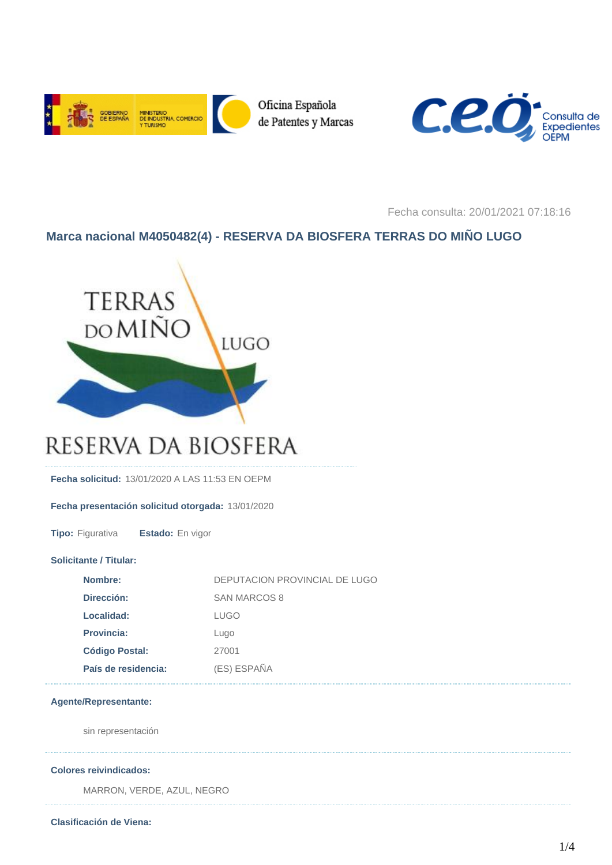



Fecha consulta: 20/01/2021 07:18:16

# **Marca nacional M4050482(4) - RESERVA DA BIOSFERA TERRAS DO MIÑO LUGO**



# RESERVA DA BIOSFERA

**Fecha solicitud:** 13/01/2020 A LAS 11:53 EN OEPM

# **Fecha presentación solicitud otorgada:** 13/01/2020

**Tipo:** Figurativa **Estado:** En vigor

# **Solicitante / Titular:**

| Nombre:               | DEPUTACION PROVINCIAL DE LUGO |
|-----------------------|-------------------------------|
| Dirección:            | SAN MARCOS 8                  |
| Localidad:            | LUGO                          |
| <b>Provincia:</b>     | Lugo                          |
| <b>Código Postal:</b> | 27001                         |
| País de residencia:   | (ES) ESPAÑA                   |

# **Agente/Representante:**

sin representación

### **Colores reivindicados:**

MARRON, VERDE, AZUL, NEGRO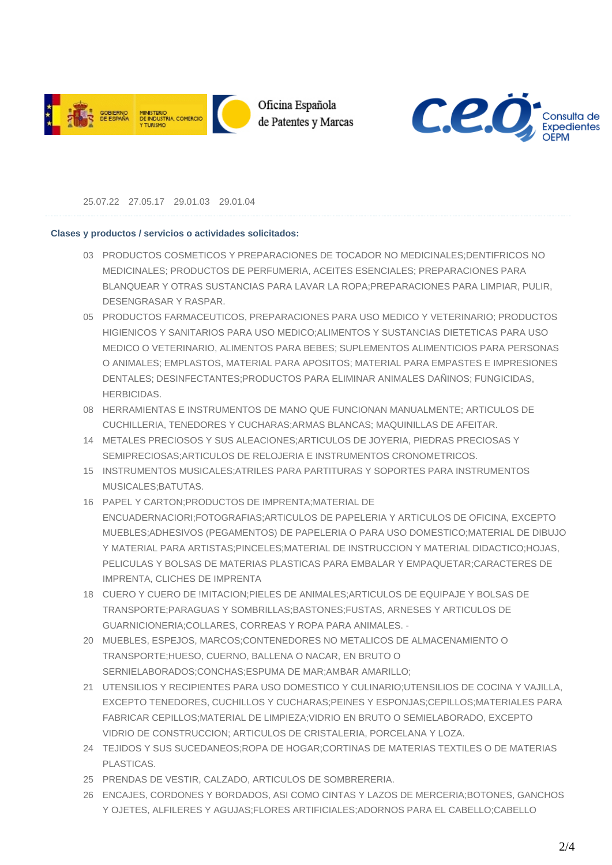



25.07.22 27.05.17 29.01.03 29.01.04

# **Clases y productos / servicios o actividades solicitados:**

- 03 PRODUCTOS COSMETICOS Y PREPARACIONES DE TOCADOR NO MEDICINALES;DENTIFRICOS NO MEDICINALES; PRODUCTOS DE PERFUMERIA, ACEITES ESENCIALES; PREPARACIONES PARA BLANQUEAR Y OTRAS SUSTANCIAS PARA LAVAR LA ROPA;PREPARACIONES PARA LIMPIAR, PULIR, DESENGRASAR Y RASPAR.
- 05 PRODUCTOS FARMACEUTICOS, PREPARACIONES PARA USO MEDICO Y VETERINARIO; PRODUCTOS HIGIENICOS Y SANITARIOS PARA USO MEDICO;ALIMENTOS Y SUSTANCIAS DIETETICAS PARA USO MEDICO O VETERINARIO, ALIMENTOS PARA BEBES; SUPLEMENTOS ALIMENTICIOS PARA PERSONAS O ANIMALES; EMPLASTOS, MATERIAL PARA APOSITOS; MATERIAL PARA EMPASTES E IMPRESIONES DENTALES; DESINFECTANTES;PRODUCTOS PARA ELIMINAR ANIMALES DAÑINOS; FUNGICIDAS, HERBICIDAS.
- 08 HERRAMIENTAS E INSTRUMENTOS DE MANO QUE FUNCIONAN MANUALMENTE; ARTICULOS DE CUCHILLERIA, TENEDORES Y CUCHARAS;ARMAS BLANCAS; MAQUINILLAS DE AFEITAR.
- METALES PRECIOSOS Y SUS ALEACIONES;ARTICULOS DE JOYERIA, PIEDRAS PRECIOSAS Y 14 SEMIPRECIOSAS;ARTICULOS DE RELOJERIA E INSTRUMENTOS CRONOMETRICOS.
- 15 INSTRUMENTOS MUSICALES;ATRILES PARA PARTITURAS Y SOPORTES PARA INSTRUMENTOS MUSICALES;BATUTAS.
- PAPEL Y CARTON;PRODUCTOS DE IMPRENTA;MATERIAL DE 16 ENCUADERNACIORI;FOTOGRAFIAS;ARTICULOS DE PAPELERIA Y ARTICULOS DE OFICINA, EXCEPTO MUEBLES;ADHESIVOS (PEGAMENTOS) DE PAPELERIA O PARA USO DOMESTICO;MATERIAL DE DIBUJO Y MATERIAL PARA ARTISTAS;PINCELES;MATERIAL DE INSTRUCCION Y MATERIAL DIDACTICO;HOJAS, PELICULAS Y BOLSAS DE MATERIAS PLASTICAS PARA EMBALAR Y EMPAQUETAR;CARACTERES DE IMPRENTA, CLICHES DE IMPRENTA
- CUERO Y CUERO DE !MITACION;PIELES DE ANIMALES;ARTICULOS DE EQUIPAJE Y BOLSAS DE 18 TRANSPORTE;PARAGUAS Y SOMBRILLAS;BASTONES;FUSTAS, ARNESES Y ARTICULOS DE GUARNICIONERIA;COLLARES, CORREAS Y ROPA PARA ANIMALES. -
- MUEBLES, ESPEJOS, MARCOS;CONTENEDORES NO METALICOS DE ALMACENAMIENTO O 20 TRANSPORTE;HUESO, CUERNO, BALLENA O NACAR, EN BRUTO O SERNIELABORADOS;CONCHAS;ESPUMA DE MAR;AMBAR AMARILLO;
- UTENSILIOS Y RECIPIENTES PARA USO DOMESTICO Y CULINARIO;UTENSILIOS DE COCINA Y VAJILLA, 21 EXCEPTO TENEDORES, CUCHILLOS Y CUCHARAS;PEINES Y ESPONJAS;CEPILLOS;MATERIALES PARA FABRICAR CEPILLOS;MATERIAL DE LIMPIEZA;VIDRIO EN BRUTO O SEMIELABORADO, EXCEPTO VIDRIO DE CONSTRUCCION; ARTICULOS DE CRISTALERIA, PORCELANA Y LOZA.
- TEJIDOS Y SUS SUCEDANEOS;ROPA DE HOGAR;CORTINAS DE MATERIAS TEXTILES O DE MATERIAS 24 PLASTICAS.
- 25 PRENDAS DE VESTIR, CALZADO, ARTICULOS DE SOMBRERERIA.
- ENCAJES, CORDONES Y BORDADOS, ASI COMO CINTAS Y LAZOS DE MERCERIA;BOTONES, GANCHOS 26 Y OJETES, ALFILERES Y AGUJAS;FLORES ARTIFICIALES;ADORNOS PARA EL CABELLO;CABELLO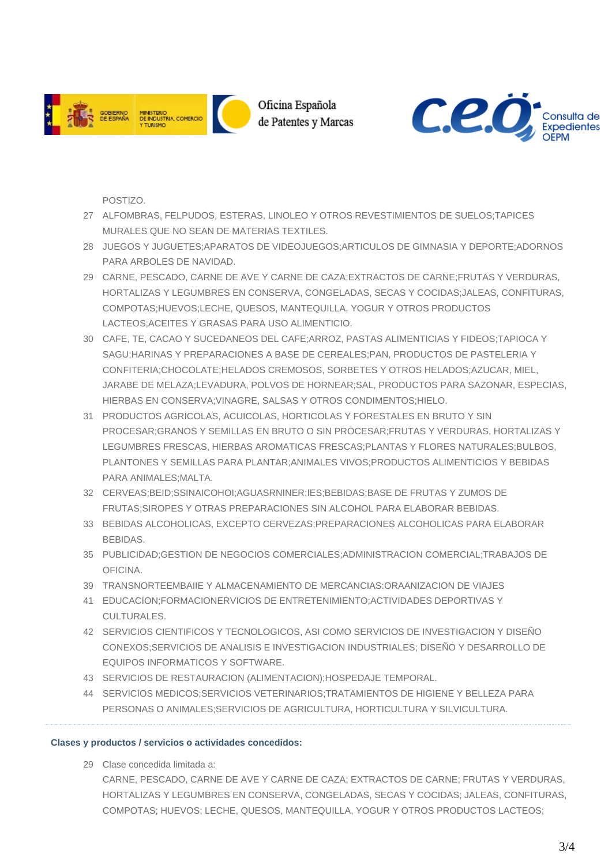



POSTIZO.

- ALFOMBRAS, FELPUDOS, ESTERAS, LINOLEO Y OTROS REVESTIMIENTOS DE SUELOS;TAPICES 27 MURALES QUE NO SEAN DE MATERIAS TEXTILES.
- JUEGOS Y JUGUETES;APARATOS DE VIDEOJUEGOS;ARTICULOS DE GIMNASIA Y DEPORTE;ADORNOS 28 PARA ARBOLES DE NAVIDAD.
- CARNE, PESCADO, CARNE DE AVE Y CARNE DE CAZA;EXTRACTOS DE CARNE;FRUTAS Y VERDURAS, 29 HORTALIZAS Y LEGUMBRES EN CONSERVA, CONGELADAS, SECAS Y COCIDAS;JALEAS, CONFITURAS, COMPOTAS;HUEVOS;LECHE, QUESOS, MANTEQUILLA, YOGUR Y OTROS PRODUCTOS LACTEOS;ACEITES Y GRASAS PARA USO ALIMENTICIO.
- CAFE, TE, CACAO Y SUCEDANEOS DEL CAFE;ARROZ, PASTAS ALIMENTICIAS Y FIDEOS;TAPIOCA Y 30 SAGU;HARINAS Y PREPARACIONES A BASE DE CEREALES;PAN, PRODUCTOS DE PASTELERIA Y CONFITERIA;CHOCOLATE;HELADOS CREMOSOS, SORBETES Y OTROS HELADOS;AZUCAR, MIEL, JARABE DE MELAZA;LEVADURA, POLVOS DE HORNEAR;SAL, PRODUCTOS PARA SAZONAR, ESPECIAS, HIERBAS EN CONSERVA;VINAGRE, SALSAS Y OTROS CONDIMENTOS;HIELO.
- PRODUCTOS AGRICOLAS, ACUICOLAS, HORTICOLAS Y FORESTALES EN BRUTO Y SIN 31 PROCESAR;GRANOS Y SEMILLAS EN BRUTO O SIN PROCESAR;FRUTAS Y VERDURAS, HORTALIZAS Y LEGUMBRES FRESCAS, HIERBAS AROMATICAS FRESCAS;PLANTAS Y FLORES NATURALES;BULBOS, PLANTONES Y SEMILLAS PARA PLANTAR;ANIMALES VIVOS;PRODUCTOS ALIMENTICIOS Y BEBIDAS PARA ANIMALES;MALTA.
- CERVEAS;BEID;SSINAICOHOI;AGUASRNINER;IES;BEBIDAS;BASE DE FRUTAS Y ZUMOS DE 32 FRUTAS;SIROPES Y OTRAS PREPARACIONES SIN ALCOHOL PARA ELABORAR BEBIDAS.
- 33 BEBIDAS ALCOHOLICAS, EXCEPTO CERVEZAS;PREPARACIONES ALCOHOLICAS PARA ELABORAR BEBIDAS.
- PUBLICIDAD;GESTION DE NEGOCIOS COMERCIALES;ADMINISTRACION COMERCIAL;TRABAJOS DE 35 **OFICINA**
- 39 TRANSNORTEEMBAIIE Y ALMACENAMIENTO DE MERCANCIAS:ORAANIZACION DE VIAJES
- EDUCACION;FORMACIONERVICIOS DE ENTRETENIMIENTO;ACTIVIDADES DEPORTIVAS Y 41 CULTURALES.
- SERVICIOS CIENTIFICOS Y TECNOLOGICOS, ASI COMO SERVICIOS DE INVESTIGACION Y DISEÑO 42 CONEXOS;SERVICIOS DE ANALISIS E INVESTIGACION INDUSTRIALES; DISEÑO Y DESARROLLO DE EQUIPOS INFORMATICOS Y SOFTWARE.
- 43 SERVICIOS DE RESTAURACION (ALIMENTACION);HOSPEDAJE TEMPORAL.
- SERVICIOS MEDICOS;SERVICIOS VETERINARIOS;TRATAMIENTOS DE HIGIENE Y BELLEZA PARA 44 PERSONAS O ANIMALES;SERVICIOS DE AGRICULTURA, HORTICULTURA Y SILVICULTURA.

# **Clases y productos / servicios o actividades concedidos:**

Clase concedida limitada a: 29

CARNE, PESCADO, CARNE DE AVE Y CARNE DE CAZA; EXTRACTOS DE CARNE; FRUTAS Y VERDURAS, HORTALIZAS Y LEGUMBRES EN CONSERVA, CONGELADAS, SECAS Y COCIDAS; JALEAS, CONFITURAS, COMPOTAS; HUEVOS; LECHE, QUESOS, MANTEQUILLA, YOGUR Y OTROS PRODUCTOS LACTEOS;